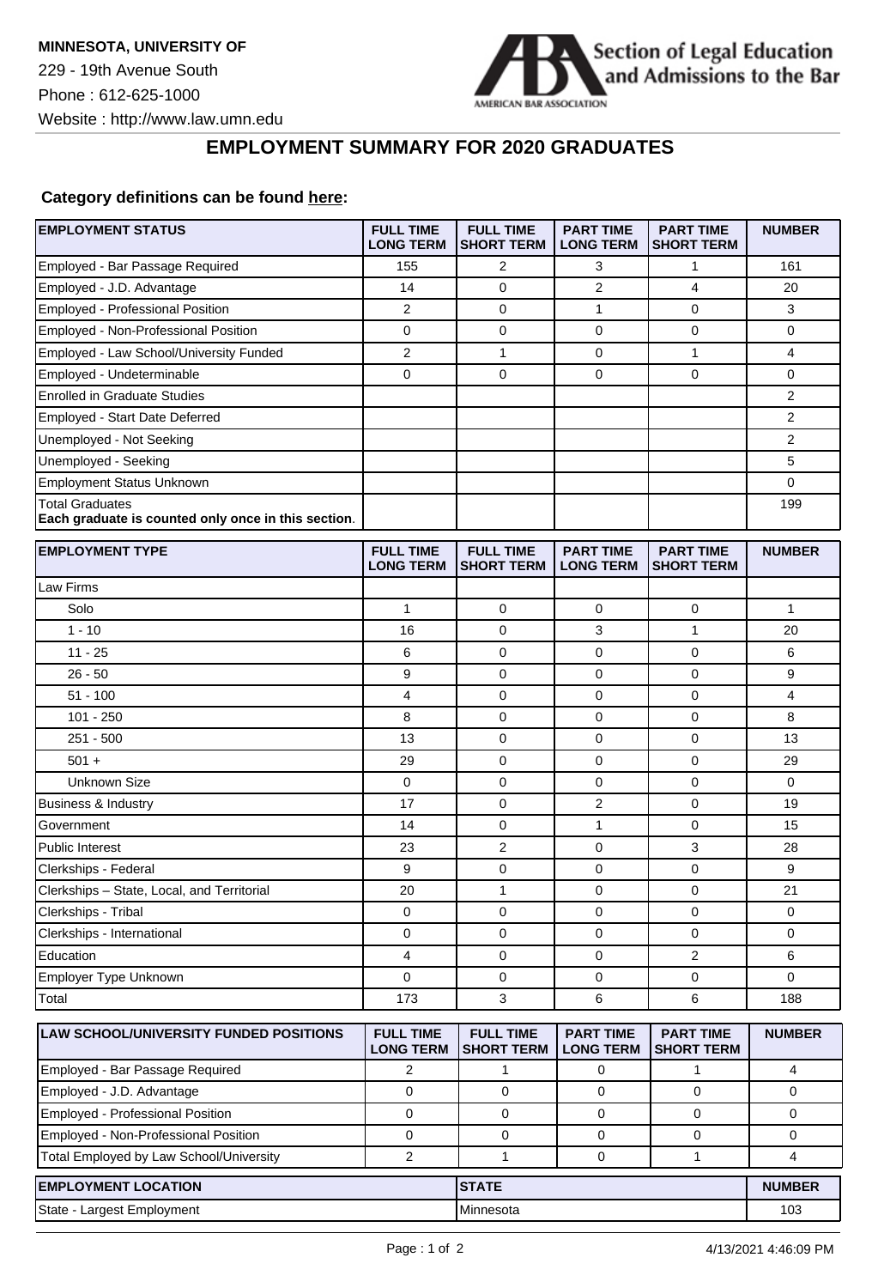

## **EMPLOYMENT SUMMARY FOR 2020 GRADUATES**

## **Category definitions can be found [here:](https://www.americanbar.org/content/dam/aba/administrative/legal_education_and_admissions_to_the_bar/Questionnaires/employment-protocol-class-of-2020.pdf)**

| <b>EMPLOYMENT STATUS</b>                                                      | <b>FULL TIME</b><br><b>LONG TERM</b> | <b>FULL TIME</b><br><b>SHORT TERM</b> | <b>PART TIME</b><br><b>LONG TERM</b> | <b>PART TIME</b><br><b>SHORT TERM</b> | <b>NUMBER</b>  |
|-------------------------------------------------------------------------------|--------------------------------------|---------------------------------------|--------------------------------------|---------------------------------------|----------------|
| Employed - Bar Passage Required                                               | 155                                  | 2                                     | 3                                    | 1                                     | 161            |
| Employed - J.D. Advantage                                                     | 14                                   | $\mathbf 0$                           | $\overline{2}$                       | 4                                     | 20             |
| <b>Employed - Professional Position</b>                                       | $\overline{2}$                       | 0                                     | 1                                    | $\mathbf 0$                           | 3              |
| Employed - Non-Professional Position                                          | 0                                    | 0                                     | 0                                    | 0                                     | 0              |
| Employed - Law School/University Funded                                       | $\overline{2}$                       | $\mathbf{1}$                          | $\pmb{0}$                            | $\mathbf{1}$                          | 4              |
| Employed - Undeterminable                                                     | $\mathbf 0$                          | $\mathbf 0$                           | $\mathbf 0$                          | $\mathbf 0$                           | 0              |
| <b>Enrolled in Graduate Studies</b>                                           |                                      |                                       |                                      |                                       | $\overline{2}$ |
| Employed - Start Date Deferred                                                |                                      |                                       |                                      |                                       | 2              |
| Unemployed - Not Seeking                                                      |                                      |                                       |                                      |                                       | $\overline{2}$ |
| Unemployed - Seeking                                                          |                                      |                                       |                                      |                                       | 5              |
| <b>Employment Status Unknown</b>                                              |                                      |                                       |                                      |                                       | 0              |
| <b>Total Graduates</b><br>Each graduate is counted only once in this section. |                                      |                                       |                                      |                                       | 199            |
| <b>EMPLOYMENT TYPE</b>                                                        | <b>FULL TIME</b><br><b>LONG TERM</b> | <b>FULL TIME</b><br><b>SHORT TERM</b> | <b>PART TIME</b><br><b>LONG TERM</b> | <b>PART TIME</b><br><b>SHORT TERM</b> | <b>NUMBER</b>  |
| Law Firms                                                                     |                                      |                                       |                                      |                                       |                |
| Solo                                                                          | $\mathbf{1}$                         | 0                                     | 0                                    | 0                                     | 1              |
| $1 - 10$                                                                      | 16                                   | $\mathbf 0$                           | 3                                    | $\mathbf{1}$                          | 20             |
| $11 - 25$                                                                     | 6                                    | 0                                     | 0                                    | $\mathbf 0$                           | 6              |
| $26 - 50$                                                                     | 9                                    | 0                                     | 0                                    | $\mathbf 0$                           | 9              |
| $51 - 100$                                                                    | 4                                    | 0                                     | 0                                    | $\mathbf 0$                           | 4              |
| $101 - 250$                                                                   | 8                                    | 0                                     | $\mathbf 0$                          | $\mathbf 0$                           | 8              |
| $251 - 500$                                                                   | 13                                   | 0                                     | 0                                    | $\mathbf 0$                           | 13             |
| $501 +$                                                                       | 29                                   | 0                                     | 0                                    | 0                                     | 29             |
| <b>Unknown Size</b>                                                           | $\mathbf 0$                          | 0                                     | $\mathbf 0$                          | $\mathbf 0$                           | $\mathbf 0$    |
| <b>Business &amp; Industry</b>                                                | 17                                   | 0                                     | $\overline{c}$                       | $\mathbf 0$                           | 19             |
| Government                                                                    | 14                                   | 0                                     | 1                                    | $\mathbf 0$                           | 15             |
| Public Interest                                                               | 23                                   | $\overline{\mathbf{c}}$               | 0                                    | 3                                     | 28             |
| Clerkships - Federal                                                          | 9                                    | 0                                     | 0                                    | $\mathbf 0$                           | 9              |
| Clerkships - State, Local, and Territorial                                    | 20                                   | $\mathbf{1}$                          | $\mathbf 0$                          | 0                                     | 21             |
| Clerkships - Tribal                                                           | 0                                    | 0                                     | 0                                    | $\mathbf 0$                           | 0              |
| Clerkships - International                                                    | 0                                    | 0                                     | 0                                    | $\mathbf 0$                           | 0              |
| Education                                                                     | 4                                    | 0                                     | 0                                    | 2                                     | 6              |
| Employer Type Unknown                                                         | $\Omega$                             | $\mathbf 0$                           | $\mathbf 0$                          | $\mathbf 0$                           | 0              |
| Total                                                                         | 173                                  | 3                                     | 6                                    | 6                                     | 188            |
| LAW SCHOOL/UNIVERSITY FUNDED POSITIONS                                        | <b>FULL TIME</b><br><b>LONG TERM</b> | <b>FULL TIME</b><br><b>SHORT TERM</b> | <b>PART TIME</b><br><b>LONG TERM</b> | <b>PART TIME</b><br><b>SHORT TERM</b> | <b>NUMBER</b>  |
| Employed - Bar Passage Required                                               | $\overline{2}$                       | 1                                     | 0                                    | $\mathbf{1}$                          | 4              |
| Employed - J.D. Advantage                                                     | $\mathbf 0$                          | $\mathbf 0$                           | 0                                    | $\mathbf 0$                           | 0              |
| Employed - Professional Position                                              | $\mathbf 0$                          | $\mathbf 0$                           | 0                                    | 0                                     | 0              |
| Employed - Non-Professional Position                                          | 0                                    | $\mathbf 0$                           | 0                                    | 0                                     | 0              |
| Total Employed by Law School/University                                       | $\mathbf{2}$                         | 1                                     | 0                                    | $\mathbf{1}$                          | 4              |
| <b>EMPLOYMENT LOCATION</b>                                                    |                                      | <b>STATE</b>                          |                                      |                                       | <b>NUMBER</b>  |
| State - Largest Employment                                                    |                                      | Minnesota                             |                                      |                                       | 103            |
|                                                                               |                                      |                                       |                                      |                                       |                |